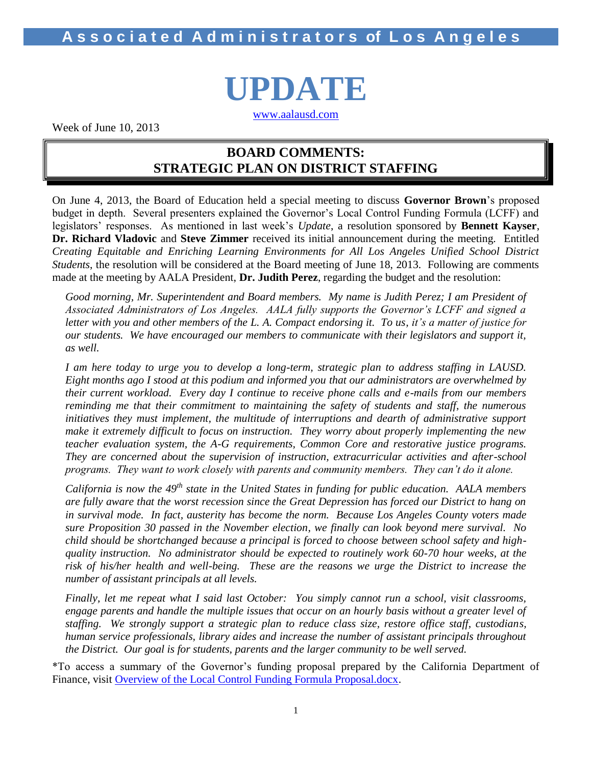## **A s s o c i a t e d A d m i n i s t r a t o r s of L o s A n g e l e s**



[www.aalausd.com](http://www.aalausd.com/)

Week of June 10, 2013

## **BOARD COMMENTS: STRATEGIC PLAN ON DISTRICT STAFFING**

On June 4, 2013, the Board of Education held a special meeting to discuss **Governor Brown**'s proposed budget in depth. Several presenters explained the Governor's Local Control Funding Formula (LCFF) and legislators' responses. As mentioned in last week's *Update*, a resolution sponsored by **Bennett Kayser**, **Dr. Richard Vladovic** and **Steve Zimmer** received its initial announcement during the meeting. Entitled *Creating Equitable and Enriching Learning Environments for All Los Angeles Unified School District Students*, the resolution will be considered at the Board meeting of June 18, 2013. Following are comments made at the meeting by AALA President, **Dr. Judith Perez**, regarding the budget and the resolution:

*Good morning, Mr. Superintendent and Board members. My name is Judith Perez; I am President of Associated Administrators of Los Angeles. AALA fully supports the Governor's LCFF and signed a letter with you and other members of the L. A. Compact endorsing it. To us, it's a matter of justice for our students. We have encouraged our members to communicate with their legislators and support it, as well.* 

*I am here today to urge you to develop a long-term, strategic plan to address staffing in LAUSD. Eight months ago I stood at this podium and informed you that our administrators are overwhelmed by their current workload. Every day I continue to receive phone calls and e-mails from our members reminding me that their commitment to maintaining the safety of students and staff, the numerous initiatives they must implement, the multitude of interruptions and dearth of administrative support make it extremely difficult to focus on instruction. They worry about properly implementing the new teacher evaluation system, the A-G requirements, Common Core and restorative justice programs. They are concerned about the supervision of instruction, extracurricular activities and after-school programs. They want to work closely with parents and community members. They can't do it alone.* 

*California is now the 49th state in the United States in funding for public education. AALA members are fully aware that the worst recession since the Great Depression has forced our District to hang on in survival mode. In fact, austerity has become the norm. Because Los Angeles County voters made sure Proposition 30 passed in the November election, we finally can look beyond mere survival. No child should be shortchanged because a principal is forced to choose between school safety and highquality instruction. No administrator should be expected to routinely work 60-70 hour weeks, at the risk of his/her health and well-being. These are the reasons we urge the District to increase the number of assistant principals at all levels.*

*Finally, let me repeat what I said last October: You simply cannot run a school, visit classrooms, engage parents and handle the multiple issues that occur on an hourly basis without a greater level of staffing. We strongly support a strategic plan to reduce class size, restore office staff, custodians, human service professionals, library aides and increase the number of assistant principals throughout the District. Our goal is for students, parents and the larger community to be well served.*

\*To access a summary of the Governor's funding proposal prepared by the California Department of Finance, visit [Overview of the Local Control Funding Formula Proposal.docx.](file:///C:/Users/Jeri/Documents/articles/Overview%20of%20the%20Local%20Control%20Funding%20Formula%20Proposal.docx)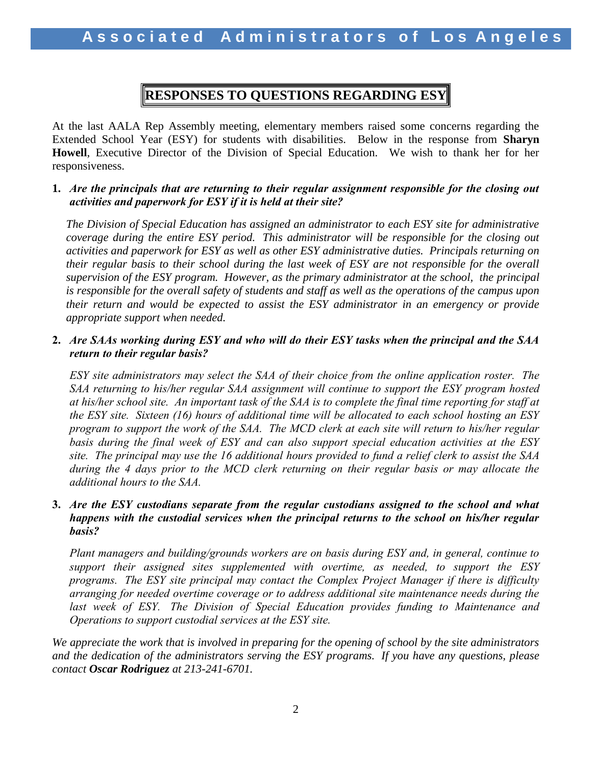## **RESPONSES TO QUESTIONS REGARDING ESY**

At the last AALA Rep Assembly meeting, elementary members raised some concerns regarding the Extended School Year (ESY) for students with disabilities. Below in the response from **Sharyn Howell**, Executive Director of the Division of Special Education. We wish to thank her for her responsiveness.

### **1.** *Are the principals that are returning to their regular assignment responsible for the closing out activities and paperwork for ESY if it is held at their site?*

*The Division of Special Education has assigned an administrator to each ESY site for administrative coverage during the entire ESY period. This administrator will be responsible for the closing out activities and paperwork for ESY as well as other ESY administrative duties. Principals returning on their regular basis to their school during the last week of ESY are not responsible for the overall supervision of the ESY program. However, as the primary administrator at the school, the principal is responsible for the overall safety of students and staff as well as the operations of the campus upon their return and would be expected to assist the ESY administrator in an emergency or provide appropriate support when needed.*

### **2.** *Are SAAs working during ESY and who will do their ESY tasks when the principal and the SAA return to their regular basis?*

*ESY site administrators may select the SAA of their choice from the online application roster. The SAA returning to his/her regular SAA assignment will continue to support the ESY program hosted at his/her school site. An important task of the SAA is to complete the final time reporting for staff at the ESY site. Sixteen (16) hours of additional time will be allocated to each school hosting an ESY program to support the work of the SAA. The MCD clerk at each site will return to his/her regular basis during the final week of ESY and can also support special education activities at the ESY site. The principal may use the 16 additional hours provided to fund a relief clerk to assist the SAA during the 4 days prior to the MCD clerk returning on their regular basis or may allocate the additional hours to the SAA.*

## **3.** *Are the ESY custodians separate from the regular custodians assigned to the school and what happens with the custodial services when the principal returns to the school on his/her regular basis?*

*Plant managers and building/grounds workers are on basis during ESY and, in general, continue to support their assigned sites supplemented with overtime, as needed, to support the ESY programs. The ESY site principal may contact the Complex Project Manager if there is difficulty arranging for needed overtime coverage or to address additional site maintenance needs during the last week of ESY. The Division of Special Education provides funding to Maintenance and Operations to support custodial services at the ESY site.*

*We appreciate the work that is involved in preparing for the opening of school by the site administrators and the dedication of the administrators serving the ESY programs. If you have any questions, please contact Oscar Rodriguez at 213-241-6701.*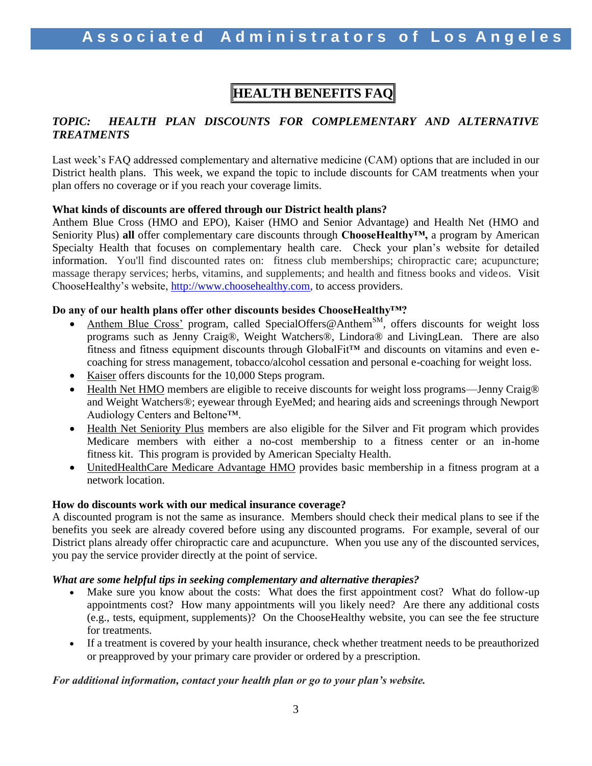## **HEALTH BENEFITS FAQ**

## *TOPIC: HEALTH PLAN DISCOUNTS FOR COMPLEMENTARY AND ALTERNATIVE TREATMENTS*

Last week's FAQ addressed complementary and alternative medicine (CAM) options that are included in our District health plans. This week, we expand the topic to include discounts for CAM treatments when your plan offers no coverage or if you reach your coverage limits.

### **What kinds of discounts are offered through our District health plans?**

Anthem Blue Cross (HMO and EPO), Kaiser (HMO and Senior Advantage) and Health Net (HMO and Seniority Plus) **all** offer complementary care discounts through **ChooseHealthy™,** a program by American Specialty Health that focuses on complementary health care. Check your plan's website for detailed information. You'll find discounted rates on: fitness club memberships; chiropractic care; acupuncture; massage therapy services; herbs, vitamins, and supplements; and health and fitness books and videos. Visit ChooseHealthy's website, [http://www.choosehealthy.com,](http://www.choosehealthy.com/) to access providers.

### **Do any of our health plans offer other discounts besides ChooseHealthy™?**

- Anthem Blue Cross' program, called SpecialOffers@Anthem<sup>SM</sup>, offers discounts for weight loss programs such as Jenny Craig®, Weight Watchers®, Lindora® and LivingLean. There are also fitness and fitness equipment discounts through GlobalFit™ and discounts on vitamins and even ecoaching for stress management, tobacco/alcohol cessation and personal e-coaching for weight loss.
- Kaiser offers discounts for the 10,000 Steps program.
- Health Net HMO members are eligible to receive discounts for weight loss programs—Jenny Craig<sup>®</sup> and Weight Watchers®; eyewear through EyeMed; and hearing aids and screenings through Newport Audiology Centers and Beltone™.
- Health Net Seniority Plus members are also eligible for the Silver and Fit program which provides Medicare members with either a no-cost membership to a fitness center or an in-home fitness kit. This program is provided by American Specialty Health.
- UnitedHealthCare Medicare Advantage HMO provides basic membership in a fitness program at a network location.

#### **How do discounts work with our medical insurance coverage?**

A discounted program is not the same as insurance. Members should check their medical plans to see if the benefits you seek are already covered before using any discounted programs. For example, several of our District plans already offer chiropractic care and acupuncture. When you use any of the discounted services, you pay the service provider directly at the point of service.

#### *What are some helpful tips in seeking complementary and alternative therapies?*

- Make sure you know about the costs: What does the first appointment cost? What do follow-up appointments cost? How many appointments will you likely need? Are there any additional costs (e.g., tests, equipment, supplements)? On the ChooseHealthy website, you can see the fee structure for treatments.
- If a treatment is covered by your health insurance, check whether treatment needs to be preauthorized or preapproved by your primary care provider or ordered by a prescription.

### *For additional information, contact your health plan or go to your plan's website.*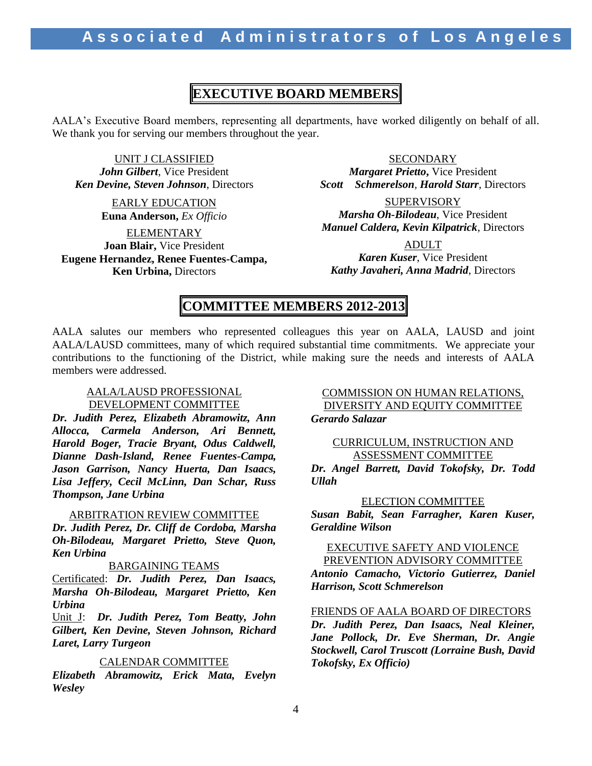## **EXECUTIVE BOARD MEMBERS**

AALA's Executive Board members, representing all departments, have worked diligently on behalf of all. We thank you for serving our members throughout the year.

UNIT J CLASSIFIED *John Gilbert*, Vice President *Ken Devine, Steven Johnson*, Directors

> EARLY EDUCATION **Euna Anderson,** *Ex Officio*

ELEMENTARY **Joan Blair,** Vice President **Eugene Hernandez, Renee Fuentes-Campa, Ken Urbina,** Directors

**SECONDARY** *Margaret Prietto***,** Vice President *Scott Schmerelson, Harold Starr,* Directors

**SUPERVISORY** *Marsha Oh-Bilodeau*, Vice President *Manuel Caldera, Kevin Kilpatrick*, Directors

ADULT *Karen Kuser*, Vice President *Kathy Javaheri, Anna Madrid*, Directors

## **COMMITTEE MEMBERS 2012-2013**

AALA salutes our members who represented colleagues this year on AALA, LAUSD and joint AALA/LAUSD committees, many of which required substantial time commitments. We appreciate your contributions to the functioning of the District, while making sure the needs and interests of AALA members were addressed.

### AALA/LAUSD PROFESSIONAL DEVELOPMENT COMMITTEE

*Dr. Judith Perez, Elizabeth Abramowitz, Ann Allocca, Carmela Anderson, Ari Bennett, Harold Boger, Tracie Bryant, Odus Caldwell, Dianne Dash-Island, Renee Fuentes-Campa, Jason Garrison, Nancy Huerta, Dan Isaacs, Lisa Jeffery, Cecil McLinn, Dan Schar, Russ Thompson, Jane Urbina*

#### ARBITRATION REVIEW COMMITTEE

*Dr. Judith Perez, Dr. Cliff de Cordoba, Marsha Oh-Bilodeau, Margaret Prietto, Steve Quon, Ken Urbina*

#### BARGAINING TEAMS

Certificated: *Dr. Judith Perez, Dan Isaacs, Marsha Oh-Bilodeau, Margaret Prietto, Ken Urbina*

Unit J: *Dr. Judith Perez, Tom Beatty, John Gilbert, Ken Devine, Steven Johnson, Richard Laret, Larry Turgeon*

### CALENDAR COMMITTEE

*Elizabeth Abramowitz, Erick Mata, Evelyn Wesley*

### COMMISSION ON HUMAN RELATIONS, DIVERSITY AND EQUITY COMMITTEE *Gerardo Salazar*

#### CURRICULUM, INSTRUCTION AND ASSESSMENT COMMITTEE

*Dr. Angel Barrett, David Tokofsky, Dr. Todd Ullah*

#### ELECTION COMMITTEE

*Susan Babit, Sean Farragher, Karen Kuser, Geraldine Wilson*

#### EXECUTIVE SAFETY AND VIOLENCE PREVENTION ADVISORY COMMITTEE

*Antonio Camacho, Victorio Gutierrez, Daniel Harrison, Scott Schmerelson*

FRIENDS OF AALA BOARD OF DIRECTORS

*Dr. Judith Perez, Dan Isaacs, Neal Kleiner, Jane Pollock, Dr. Eve Sherman, Dr. Angie Stockwell, Carol Truscott (Lorraine Bush, David Tokofsky, Ex Officio)*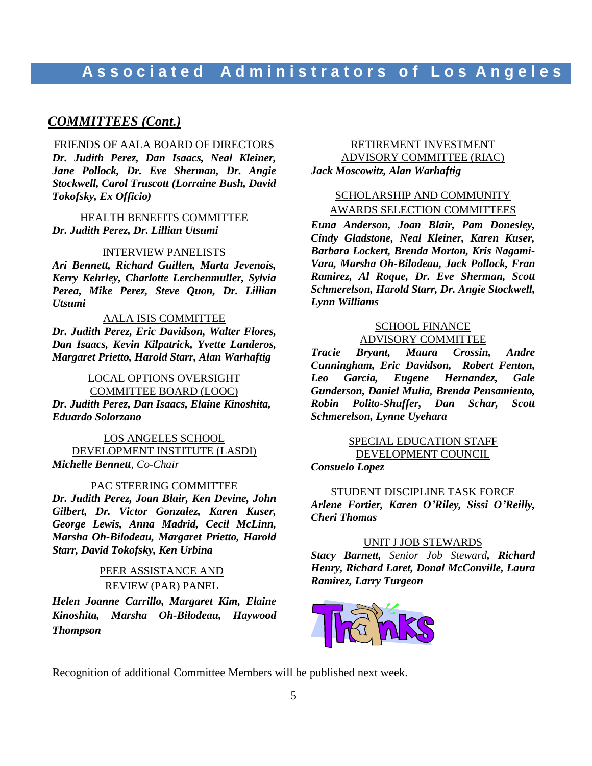## **A s s o c i a t e d A d m i n i s t r a t o r s o f L o s A n g e l e s**

### *COMMITTEES (Cont.)*

#### FRIENDS OF AALA BOARD OF DIRECTORS *Dr. Judith Perez, Dan Isaacs, Neal Kleiner, Jane Pollock, Dr. Eve Sherman, Dr. Angie Stockwell, Carol Truscott (Lorraine Bush, David Tokofsky, Ex Officio)*

HEALTH BENEFITS COMMITTEE *Dr. Judith Perez, Dr. Lillian Utsumi*

#### INTERVIEW PANELISTS

*Ari Bennett, Richard Guillen, Marta Jevenois, Kerry Kehrley, Charlotte Lerchenmuller, Sylvia Perea, Mike Perez, Steve Quon, Dr. Lillian Utsumi*

#### AALA ISIS COMMITTEE

*Dr. Judith Perez, Eric Davidson, Walter Flores, Dan Isaacs, Kevin Kilpatrick, Yvette Landeros, Margaret Prietto, Harold Starr, Alan Warhaftig*

LOCAL OPTIONS OVERSIGHT COMMITTEE BOARD (LOOC) *Dr. Judith Perez, Dan Isaacs, Elaine Kinoshita, Eduardo Solorzano*

LOS ANGELES SCHOOL DEVELOPMENT INSTITUTE (LASDI) *Michelle Bennett, Co-Chair*

#### PAC STEERING COMMITTEE

*Dr. Judith Perez, Joan Blair, Ken Devine, John Gilbert, Dr. Victor Gonzalez, Karen Kuser, George Lewis, Anna Madrid, Cecil McLinn, Marsha Oh-Bilodeau, Margaret Prietto, Harold Starr, David Tokofsky, Ken Urbina*

#### PEER ASSISTANCE AND REVIEW (PAR) PANEL

*Helen Joanne Carrillo, Margaret Kim, Elaine Kinoshita, Marsha Oh-Bilodeau, Haywood Thompson*

#### RETIREMENT INVESTMENT ADVISORY COMMITTEE (RIAC) *Jack Moscowitz, Alan Warhaftig*

## SCHOLARSHIP AND COMMUNITY AWARDS SELECTION COMMITTEES

*Euna Anderson, Joan Blair, Pam Donesley, Cindy Gladstone, Neal Kleiner, Karen Kuser, Barbara Lockert, Brenda Morton, Kris Nagami-Vara, Marsha Oh-Bilodeau, Jack Pollock, Fran Ramirez, Al Roque, Dr. Eve Sherman, Scott Schmerelson, Harold Starr, Dr. Angie Stockwell, Lynn Williams*

#### SCHOOL FINANCE ADVISORY COMMITTEE

*Tracie Bryant, Maura Crossin, Andre Cunningham, Eric Davidson, Robert Fenton, Leo Garcia, Eugene Hernandez, Gale Gunderson, Daniel Mulia, Brenda Pensamiento, Robin Polito-Shuffer, Dan Schar, Scott Schmerelson, Lynne Uyehara*

## SPECIAL EDUCATION STAFF DEVELOPMENT COUNCIL

*Consuelo Lopez*

#### STUDENT DISCIPLINE TASK FORCE

*Arlene Fortier, Karen O'Riley, Sissi O'Reilly, Cheri Thomas*

#### UNIT J JOB STEWARDS

*Stacy Barnett, Senior Job Steward, Richard Henry, Richard Laret, Donal McConville, Laura Ramirez, Larry Turgeon*



Recognition of additional Committee Members will be published next week.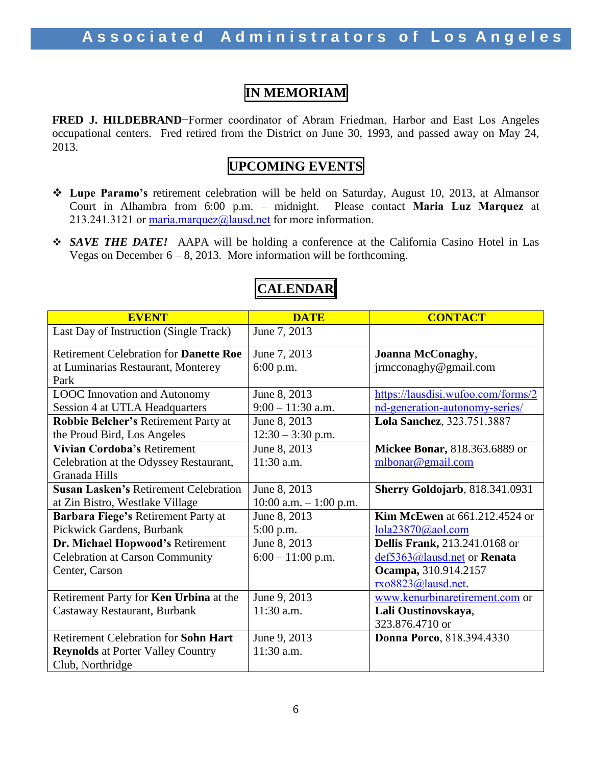## **IN MEMORIAM**

**FRED J. HILDEBRAND**−Former coordinator of Abram Friedman, Harbor and East Los Angeles occupational centers. Fred retired from the District on June 30, 1993, and passed away on May 24, 2013.

## **UPCOMING EVENTS**

- **Lupe Paramo's** retirement celebration will be held on Saturday, August 10, 2013, at Almansor Court in Alhambra from 6:00 p.m. – midnight. Please contact **Maria Luz Marquez** at 213.241.3121 or maria.marquez $@$ lausd.net for more information.
- *SAVE THE DATE!* AAPA will be holding a conference at the California Casino Hotel in Las Vegas on December  $6 - 8$ , 2013. More information will be forthcoming.

| <b>EVENT</b>                                  | <b>DATE</b>             | <b>CONTACT</b>                         |
|-----------------------------------------------|-------------------------|----------------------------------------|
| Last Day of Instruction (Single Track)        | June 7, 2013            |                                        |
| Retirement Celebration for <b>Danette Roe</b> | June 7, 2013            | <b>Joanna McConaghy,</b>               |
| at Luminarias Restaurant, Monterey            | 6:00 p.m.               | jrmcconaghy@gmail.com                  |
| Park                                          |                         |                                        |
| <b>LOOC</b> Innovation and Autonomy           | June 8, 2013            | https://lausdisi.wufoo.com/forms/2     |
| Session 4 at UTLA Headquarters                | $9:00 - 11:30$ a.m.     | nd-generation-autonomy-series/         |
| Robbie Belcher's Retirement Party at          | June 8, 2013            | Lola Sanchez, 323.751.3887             |
| the Proud Bird, Los Angeles                   | $12:30 - 3:30$ p.m.     |                                        |
| Vivian Cordoba's Retirement                   | June 8, 2013            | Mickee Bonar, 818.363.6889 or          |
| Celebration at the Odyssey Restaurant,        | 11:30 a.m.              | mlbonar@gmail.com                      |
| Granada Hills                                 |                         |                                        |
| <b>Susan Lasken's Retirement Celebration</b>  | June 8, 2013            | <b>Sherry Goldojarb</b> , 818.341.0931 |
| at Zin Bistro, Westlake Village               | 10:00 a.m. $-1:00$ p.m. |                                        |
| Barbara Fiege's Retirement Party at           | June 8, 2013            | <b>Kim McEwen</b> at 661.212.4524 or   |
| Pickwick Gardens, Burbank                     | 5:00 p.m.               | $lola23870$ @aol.com                   |
| Dr. Michael Hopwood's Retirement              | June 8, 2013            | <b>Dellis Frank, 213.241.0168 or</b>   |
| <b>Celebration at Carson Community</b>        | $6:00 - 11:00$ p.m.     | def5363@lausd.net or Renata            |
| Center, Carson                                |                         | Ocampa, 310.914.2157                   |
|                                               |                         | rxo8823@lausd.net.                     |
| Retirement Party for Ken Urbina at the        | June 9, 2013            | www.kenurbinaretirement.com or         |
| Castaway Restaurant, Burbank                  | 11:30 a.m.              | Lali Oustinovskaya,                    |
|                                               |                         | 323.876.4710 or                        |
| <b>Retirement Celebration for Sohn Hart</b>   | June 9, 2013            | <b>Donna Porco, 818.394.4330</b>       |
| <b>Reynolds at Porter Valley Country</b>      | 11:30 a.m.              |                                        |
| Club, Northridge                              |                         |                                        |

## **CALENDAR**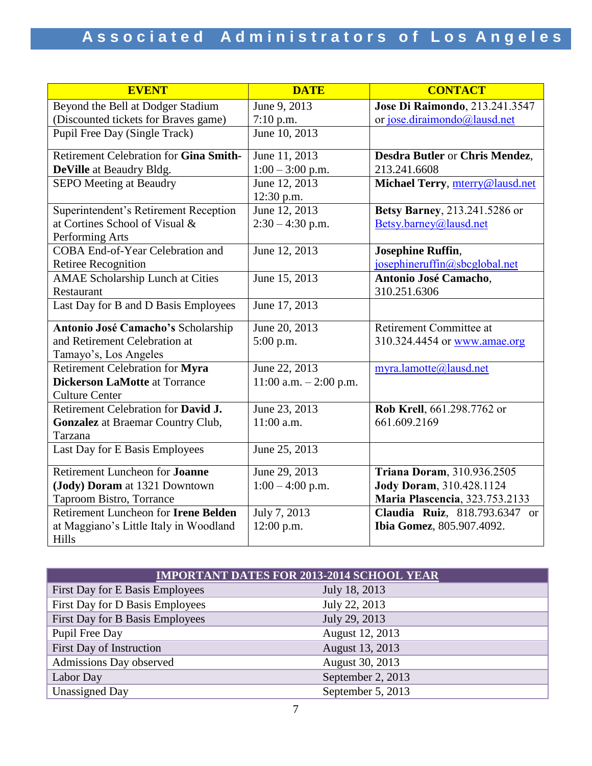| <b>EVENT</b>                                | <b>DATE</b>               | <b>CONTACT</b>                         |
|---------------------------------------------|---------------------------|----------------------------------------|
| Beyond the Bell at Dodger Stadium           | June 9, 2013              | Jose Di Raimondo, 213.241.3547         |
| (Discounted tickets for Braves game)        | $7:10$ p.m.               | or jose.diraimondo@lausd.net           |
| Pupil Free Day (Single Track)               | June 10, 2013             |                                        |
| Retirement Celebration for Gina Smith-      | June 11, 2013             | <b>Desdra Butler or Chris Mendez,</b>  |
| DeVille at Beaudry Bldg.                    | $1:00 - 3:00$ p.m.        | 213.241.6608                           |
| <b>SEPO Meeting at Beaudry</b>              | June 12, 2013             | Michael Terry, mterry@lausd.net        |
|                                             | 12:30 p.m.                |                                        |
| Superintendent's Retirement Reception       | June 12, 2013             | Betsy Barney, 213.241.5286 or          |
| at Cortines School of Visual &              | $2:30 - 4:30$ p.m.        | Betsy.barney@lausd.net                 |
| Performing Arts                             |                           |                                        |
| <b>COBA End-of-Year Celebration and</b>     | June 12, 2013             | <b>Josephine Ruffin,</b>               |
| <b>Retiree Recognition</b>                  |                           | josephineruffin@sbcglobal.net          |
| <b>AMAE Scholarship Lunch at Cities</b>     | June 15, 2013             | Antonio José Camacho,                  |
| Restaurant                                  |                           | 310.251.6306                           |
| Last Day for B and D Basis Employees        | June 17, 2013             |                                        |
| Antonio José Camacho's Scholarship          | June 20, 2013             | Retirement Committee at                |
| and Retirement Celebration at               | 5:00 p.m.                 | 310.324.4454 or www.amae.org           |
| Tamayo's, Los Angeles                       |                           |                                        |
| Retirement Celebration for Myra             | June 22, 2013             | myra.lamotte@lausd.net                 |
| <b>Dickerson LaMotte at Torrance</b>        | $11:00$ a.m. $-2:00$ p.m. |                                        |
| <b>Culture Center</b>                       |                           |                                        |
| Retirement Celebration for David J.         | June 23, 2013             | Rob Krell, 661.298.7762 or             |
| Gonzalez at Braemar Country Club,           | 11:00 a.m.                | 661.609.2169                           |
| Tarzana                                     |                           |                                        |
| Last Day for E Basis Employees              | June 25, 2013             |                                        |
| Retirement Luncheon for Joanne              | June 29, 2013             | Triana Doram, 310.936.2505             |
| (Jody) Doram at 1321 Downtown               | $1:00 - 4:00$ p.m.        | <b>Jody Doram, 310.428.1124</b>        |
| <b>Taproom Bistro, Torrance</b>             |                           | <b>Maria Plascencia</b> , 323.753.2133 |
| Retirement Luncheon for <b>Irene Belden</b> | July 7, 2013              | Claudia Ruiz, 818.793.6347 or          |
| at Maggiano's Little Italy in Woodland      | 12:00 p.m.                | Ibia Gomez, 805.907.4092.              |
| Hills                                       |                           |                                        |

| <b>IMPORTANT DATES FOR 2013-2014 SCHOOL YEAR</b> |                   |  |  |
|--------------------------------------------------|-------------------|--|--|
| First Day for E Basis Employees                  | July 18, 2013     |  |  |
| First Day for D Basis Employees                  | July 22, 2013     |  |  |
| First Day for B Basis Employees                  | July 29, 2013     |  |  |
| Pupil Free Day                                   | August 12, 2013   |  |  |
| First Day of Instruction                         | August 13, 2013   |  |  |
| Admissions Day observed                          | August 30, 2013   |  |  |
| Labor Day                                        | September 2, 2013 |  |  |
| <b>Unassigned Day</b>                            | September 5, 2013 |  |  |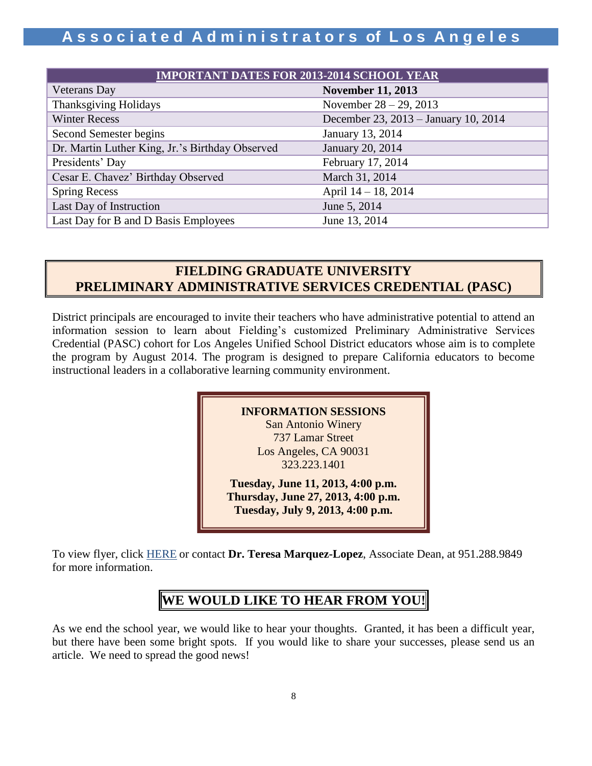## **A s s o c i a t e d A d m i n i s t r a t o r s of L o s A n g e l e s**

| <b>IMPORTANT DATES FOR 2013-2014 SCHOOL YEAR</b> |                                      |  |  |
|--------------------------------------------------|--------------------------------------|--|--|
| Veterans Day                                     | <b>November 11, 2013</b>             |  |  |
| <b>Thanksgiving Holidays</b>                     | November $28 - 29$ , 2013            |  |  |
| <b>Winter Recess</b>                             | December 23, 2013 – January 10, 2014 |  |  |
| Second Semester begins                           | January 13, 2014                     |  |  |
| Dr. Martin Luther King, Jr.'s Birthday Observed  | January 20, 2014                     |  |  |
| Presidents' Day                                  | February 17, 2014                    |  |  |
| Cesar E. Chavez' Birthday Observed               | March 31, 2014                       |  |  |
| <b>Spring Recess</b>                             | April 14 – 18, 2014                  |  |  |
| Last Day of Instruction                          | June 5, 2014                         |  |  |
| Last Day for B and D Basis Employees             | June 13, 2014                        |  |  |

## **FIELDING GRADUATE UNIVERSITY PRELIMINARY ADMINISTRATIVE SERVICES CREDENTIAL (PASC)**

District principals are encouraged to invite their teachers who have administrative potential to attend an information session to learn about Fielding's customized Preliminary Administrative Services Credential (PASC) cohort for Los Angeles Unified School District educators whose aim is to complete the program by August 2014. The program is designed to prepare California educators to become instructional leaders in a collaborative learning community environment.

### **INFORMATION SESSIONS**

San Antonio Winery 737 Lamar Street Los Angeles, CA 90031 323.223.1401

**Tuesday, June 11, 2013, 4:00 p.m. Thursday, June 27, 2013, 4:00 p.m. Tuesday, July 9, 2013, 4:00 p.m.**

**Wednesday, June 5, 2013, 4:00 p.m.**

To view flyer, click [HERE](http://www.aala.us/docs/2013/06/LAUSD-Flier-6-3-13.pdf) or contact **Dr. Teresa Marquez-Lopez**, Associate Dean, at 951.288.9849 for more information.

## **WE WOULD LIKE TO HEAR FROM YOU!**

As we end the school year, we would like to hear your thoughts. Granted, it has been a difficult year, but there have been some bright spots. If you would like to share your successes, please send us an article. We need to spread the good news!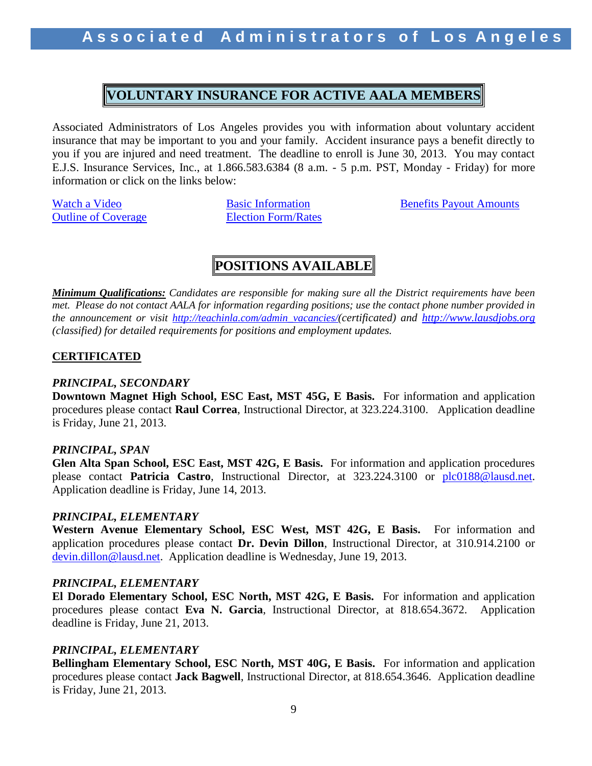## **VOLUNTARY INSURANCE FOR ACTIVE AALA MEMBERS**

Associated Administrators of Los Angeles provides you with information about voluntary accident insurance that may be important to you and your family. Accident insurance pays a benefit directly to you if you are injured and need treatment. The deadline to enroll is June 30, 2013. You may contact E.J.S. Insurance Services, Inc., at 1.866.583.6384 (8 a.m. - 5 p.m. PST, Monday - Friday) for more information or click on the links below:

**[Outline of Coverage](http://forms.unum.com/StreamPDF.aspx?strURL=/FMS_040583-2.pdf&strAudience=StreamByNumber) [Election Form/Rates](http://forms.unum.com/StreamPDF.aspx?strURL=/FMS_120650-1.pdf&strAudience=StreamByNumber)** 

[Watch a Video](http://www.pages01.net/unum/rovian/accident.html?webSyncID=8583b59d-f2eb-4e25-a8d8-401237037dee&vs=ZTkzZTgxN2UtZWE5Ni00ZjMzLTk2NmUtNGE4ZTA4NjZjMTdlOzsS1) **[Basic Information](http://forms.unum.com/StreamPDF.aspx?strURL=/FMS_120632-1.pdf&strAudience=StreamByNumber)** [Benefits Payout Amounts](http://forms.unum.com/StreamPDF.aspx?strURL=/FMS_120155-1.pdf&strAudience=StreamByNumber)

## **POSITIONS AVAILABLE**

*Minimum Qualifications: Candidates are responsible for making sure all the District requirements have been met. Please do not contact AALA for information regarding positions; use the contact phone number provided in the announcement or visit [http://teachinla.com/admin\\_vacancies/](http://teachinla.com/admin_vacancies/)(certificated) and [http://www.lausdjobs.org](http://www.lausdjobs.org/)  (classified) for detailed requirements for positions and employment updates.*

## **CERTIFICATED**

### *PRINCIPAL, SECONDARY*

**Downtown Magnet High School, ESC East, MST 45G, E Basis.** For information and application procedures please contact **Raul Correa**, Instructional Director, at 323.224.3100. Application deadline is Friday, June 21, 2013.

### *PRINCIPAL, SPAN*

**Glen Alta Span School, ESC East, MST 42G, E Basis.** For information and application procedures please contact **Patricia Castro**, Instructional Director, at 323.224.3100 or [plc0188@lausd.net.](mailto:plc0188@lausd.net) Application deadline is Friday, June 14, 2013.

### *PRINCIPAL, ELEMENTARY*

**Western Avenue Elementary School, ESC West, MST 42G, E Basis.** For information and application procedures please contact **Dr. Devin Dillon**, Instructional Director, at 310.914.2100 or [devin.dillon@lausd.net.](mailto:devin.dillon@lausd.net) Application deadline is Wednesday, June 19, 2013.

### *PRINCIPAL, ELEMENTARY*

**El Dorado Elementary School, ESC North, MST 42G, E Basis.** For information and application procedures please contact **Eva N. Garcia**, Instructional Director, at 818.654.3672. Application deadline is Friday, June 21, 2013.

## *PRINCIPAL, ELEMENTARY*

**Bellingham Elementary School, ESC North, MST 40G, E Basis.** For information and application procedures please contact **Jack Bagwell**, Instructional Director, at 818.654.3646. Application deadline is Friday, June 21, 2013.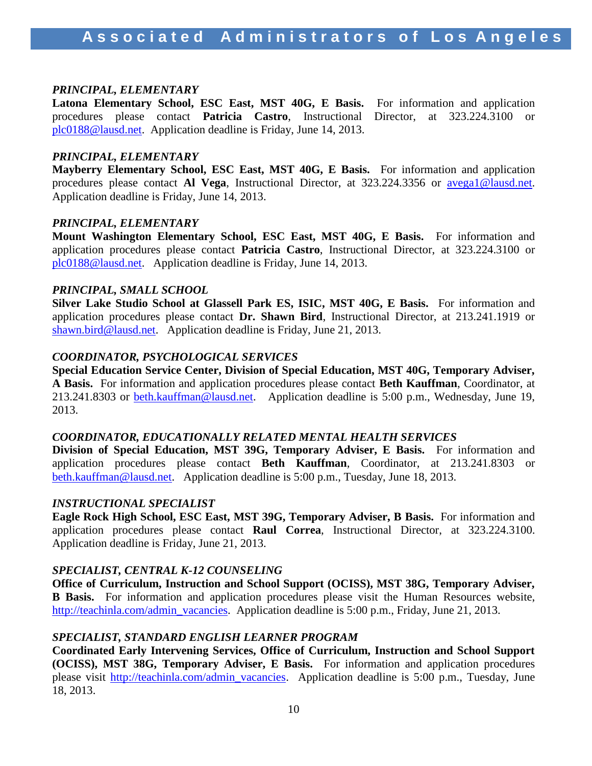### *PRINCIPAL, ELEMENTARY*

**Latona Elementary School, ESC East, MST 40G, E Basis.** For information and application procedures please contact **Patricia Castro**, Instructional Director, at 323.224.3100 or [plc0188@lausd.net.](mailto:plc0188@lausd.net) Application deadline is Friday, June 14, 2013.

#### *PRINCIPAL, ELEMENTARY*

**Mayberry Elementary School, ESC East, MST 40G, E Basis.** For information and application procedures please contact **Al Vega**, Instructional Director, at 323.224.3356 or [avega1@lausd.net.](mailto:avega1@lausd.net) Application deadline is Friday, June 14, 2013.

### *PRINCIPAL, ELEMENTARY*

**Mount Washington Elementary School, ESC East, MST 40G, E Basis.** For information and application procedures please contact **Patricia Castro**, Instructional Director, at 323.224.3100 or [plc0188@lausd.net.](mailto:plc0188@lausd.net) Application deadline is Friday, June 14, 2013.

#### *PRINCIPAL, SMALL SCHOOL*

**Silver Lake Studio School at Glassell Park ES, ISIC, MST 40G, E Basis.** For information and application procedures please contact **Dr. Shawn Bird**, Instructional Director, at 213.241.1919 or [shawn.bird@lausd.net.](mailto:shawn.bird@lausd.net) Application deadline is Friday, June 21, 2013.

### *COORDINATOR, PSYCHOLOGICAL SERVICES*

**Special Education Service Center, Division of Special Education, MST 40G, Temporary Adviser, A Basis.** For information and application procedures please contact **Beth Kauffman**, Coordinator, at 213.241.8303 or [beth.kauffman@lausd.net.](mailto:beth.kauffman@lausd.net) Application deadline is 5:00 p.m., Wednesday, June 19, 2013.

#### *COORDINATOR, EDUCATIONALLY RELATED MENTAL HEALTH SERVICES*

**Division of Special Education, MST 39G, Temporary Adviser, E Basis.** For information and application procedures please contact **Beth Kauffman**, Coordinator, at 213.241.8303 or [beth.kauffman@lausd.net.](mailto:beth.kauffman@lausd.net) Application deadline is 5:00 p.m., Tuesday, June 18, 2013.

#### *INSTRUCTIONAL SPECIALIST*

**Eagle Rock High School, ESC East, MST 39G, Temporary Adviser, B Basis.** For information and application procedures please contact **Raul Correa**, Instructional Director, at 323.224.3100. Application deadline is Friday, June 21, 2013.

### *SPECIALIST, CENTRAL K-12 COUNSELING*

**Office of Curriculum, Instruction and School Support (OCISS), MST 38G, Temporary Adviser, B Basis.** For information and application procedures please visit the Human Resources website, [http://teachinla.com/admin\\_vacancies.](http://teachinla.com/admin_vacancies) Application deadline is 5:00 p.m., Friday, June 21, 2013.

#### *SPECIALIST, STANDARD ENGLISH LEARNER PROGRAM*

**Coordinated Early Intervening Services, Office of Curriculum, Instruction and School Support (OCISS), MST 38G, Temporary Adviser, E Basis.** For information and application procedures please visit [http://teachinla.com/admin\\_vacancies.](http://teachinla.com/admin_vacancies) Application deadline is 5:00 p.m., Tuesday, June 18, 2013.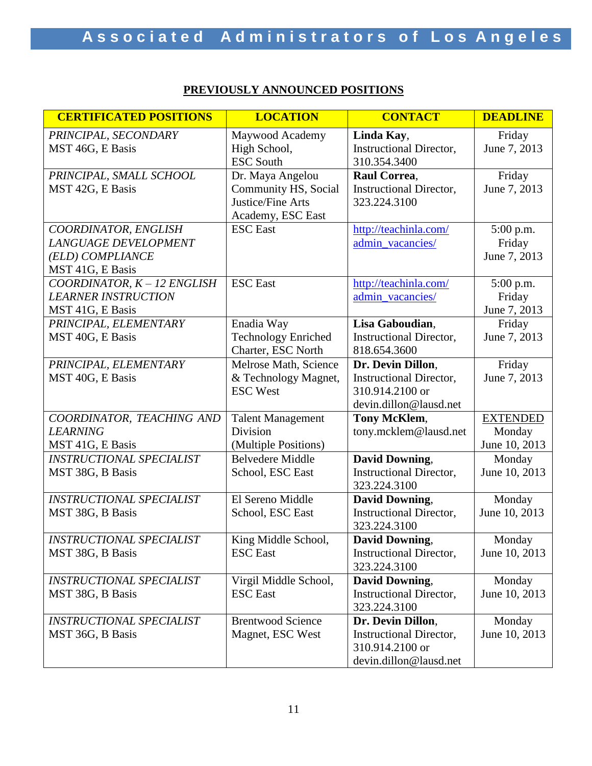## **PREVIOUSLY ANNOUNCED POSITIONS**

| <b>CERTIFICATED POSITIONS</b>                                                        | <b>LOCATION</b>                                                                    | <b>CONTACT</b>                                                                                   | <b>DEADLINE</b>                            |
|--------------------------------------------------------------------------------------|------------------------------------------------------------------------------------|--------------------------------------------------------------------------------------------------|--------------------------------------------|
| PRINCIPAL, SECONDARY<br>MST 46G, E Basis                                             | Maywood Academy<br>High School,<br><b>ESC South</b>                                | Linda Kay,<br><b>Instructional Director,</b><br>310.354.3400                                     | Friday<br>June 7, 2013                     |
| PRINCIPAL, SMALL SCHOOL<br>MST 42G, E Basis                                          | Dr. Maya Angelou<br>Community HS, Social<br>Justice/Fine Arts<br>Academy, ESC East | Raul Correa,<br><b>Instructional Director,</b><br>323.224.3100                                   | Friday<br>June 7, 2013                     |
| COORDINATOR, ENGLISH<br>LANGUAGE DEVELOPMENT<br>(ELD) COMPLIANCE<br>MST 41G, E Basis | <b>ESC</b> East                                                                    | http://teachinla.com/<br>admin_vacancies/                                                        | $5:00$ p.m.<br>Friday<br>June 7, 2013      |
| COORDINATOR, K - 12 ENGLISH<br><b>LEARNER INSTRUCTION</b><br>MST 41G, E Basis        | <b>ESC</b> East                                                                    | http://teachinla.com/<br>admin_vacancies/                                                        | 5:00 p.m.<br>Friday<br>June 7, 2013        |
| PRINCIPAL, ELEMENTARY<br>MST 40G, E Basis                                            | Enadia Way<br><b>Technology Enriched</b><br>Charter, ESC North                     | Lisa Gaboudian,<br><b>Instructional Director,</b><br>818.654.3600                                | Friday<br>June 7, 2013                     |
| PRINCIPAL, ELEMENTARY<br>MST 40G, E Basis                                            | Melrose Math, Science<br>& Technology Magnet,<br><b>ESC West</b>                   | Dr. Devin Dillon,<br><b>Instructional Director,</b><br>310.914.2100 or<br>devin.dillon@lausd.net | Friday<br>June 7, 2013                     |
| COORDINATOR, TEACHING AND<br><b>LEARNING</b><br>MST 41G, E Basis                     | <b>Talent Management</b><br>Division<br>(Multiple Positions)                       | Tony McKlem,<br>tony.mcklem@lausd.net                                                            | <b>EXTENDED</b><br>Monday<br>June 10, 2013 |
| <b>INSTRUCTIONAL SPECIALIST</b><br>MST 38G, B Basis                                  | <b>Belvedere Middle</b><br>School, ESC East                                        | <b>David Downing,</b><br><b>Instructional Director,</b><br>323.224.3100                          | Monday<br>June 10, 2013                    |
| <b>INSTRUCTIONAL SPECIALIST</b><br>MST 38G, B Basis                                  | El Sereno Middle<br>School, ESC East                                               | David Downing,<br><b>Instructional Director,</b><br>323.224.3100                                 | Monday<br>June 10, 2013                    |
| <b>INSTRUCTIONAL SPECIALIST</b><br>MST 38G, B Basis                                  | King Middle School,<br><b>ESC</b> East                                             | <b>David Downing,</b><br><b>Instructional Director,</b><br>323.224.3100                          | Monday<br>June 10, 2013                    |
| <b>INSTRUCTIONAL SPECIALIST</b><br>MST 38G, B Basis                                  | Virgil Middle School,<br><b>ESC</b> East                                           | <b>David Downing,</b><br><b>Instructional Director,</b><br>323.224.3100                          | Monday<br>June 10, 2013                    |
| <b>INSTRUCTIONAL SPECIALIST</b><br>MST 36G, B Basis                                  | <b>Brentwood Science</b><br>Magnet, ESC West                                       | Dr. Devin Dillon,<br><b>Instructional Director,</b><br>310.914.2100 or<br>devin.dillon@lausd.net | Monday<br>June 10, 2013                    |